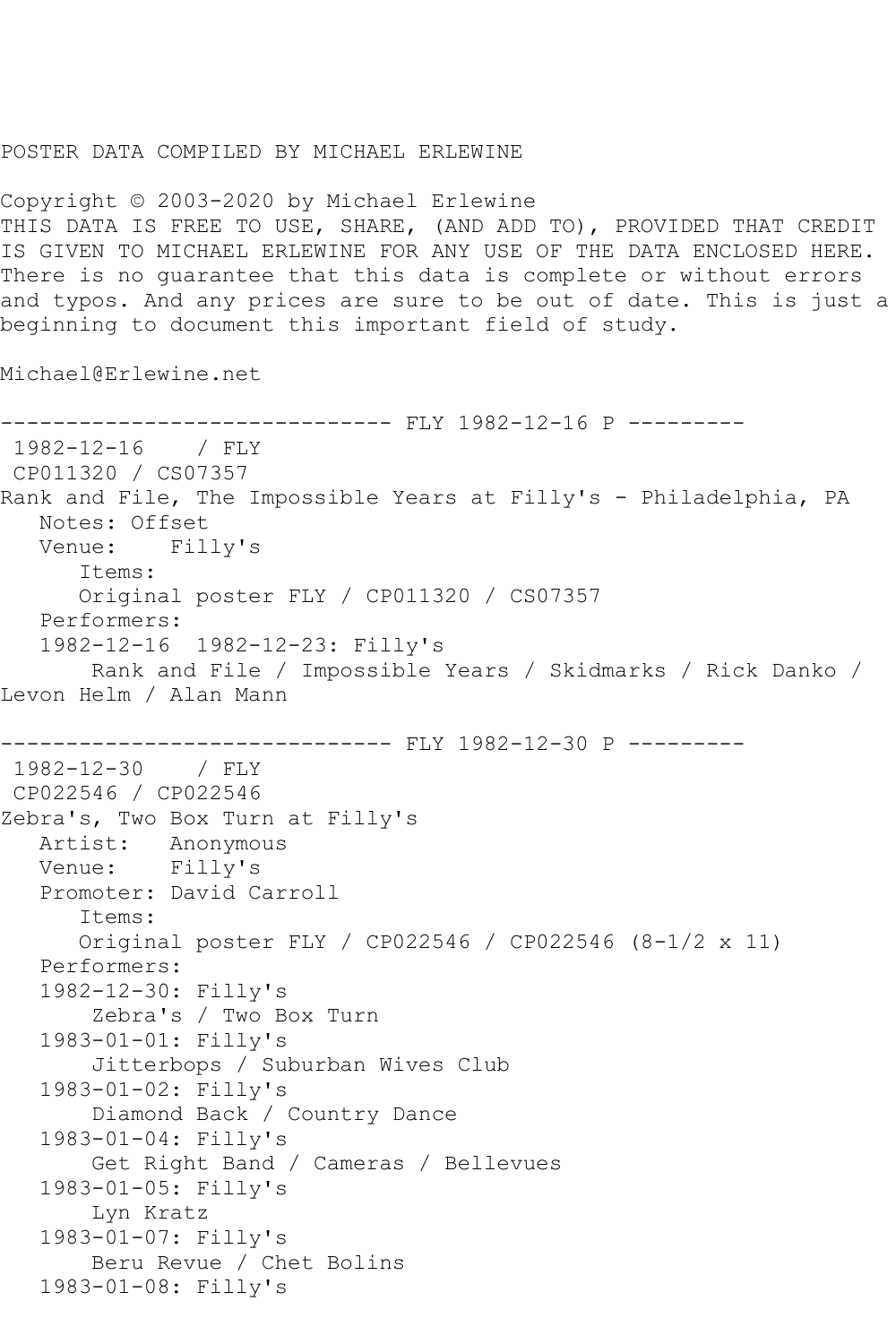## POSTER DATA COMPILED BY MICHAEL ERLEWINE

Copyright © 2003-2020 by Michael Erlewine THIS DATA IS FREE TO USE, SHARE, (AND ADD TO), PROVIDED THAT CREDIT IS GIVEN TO MICHAEL ERLEWINE FOR ANY USE OF THE DATA ENCLOSED HERE. There is no guarantee that this data is complete or without errors and typos. And any prices are sure to be out of date. This is just a beginning to document this important field of study.

Michael@Erlewine.net

```
------------------------------ FLY 1982-12-16 P ---------
1982-12-16 / FLY 
CP011320 / CS07357
Rank and File, The Impossible Years at Filly's - Philadelphia, PA
   Notes: Offset
   Venue: Filly's
       Items:
       Original poster FLY / CP011320 / CS07357
   Performers:
   1982-12-16 1982-12-23: Filly's
        Rank and File / Impossible Years / Skidmarks / Rick Danko / 
Levon Helm / Alan Mann
               --------------- FLY 1982-12-30 P ---------
1982-12-30 / FLY 
CP022546 / CP022546
Zebra's, Two Box Turn at Filly's
   Artist: Anonymous
   Venue: Filly's
   Promoter: David Carroll
       Items:
       Original poster FLY / CP022546 / CP022546 (8-1/2 x 11)
   Performers:
   1982-12-30: Filly's
        Zebra's / Two Box Turn
   1983-01-01: Filly's
        Jitterbops / Suburban Wives Club
   1983-01-02: Filly's
        Diamond Back / Country Dance
   1983-01-04: Filly's
        Get Right Band / Cameras / Bellevues
   1983-01-05: Filly's
        Lyn Kratz
   1983-01-07: Filly's
        Beru Revue / Chet Bolins
   1983-01-08: Filly's
```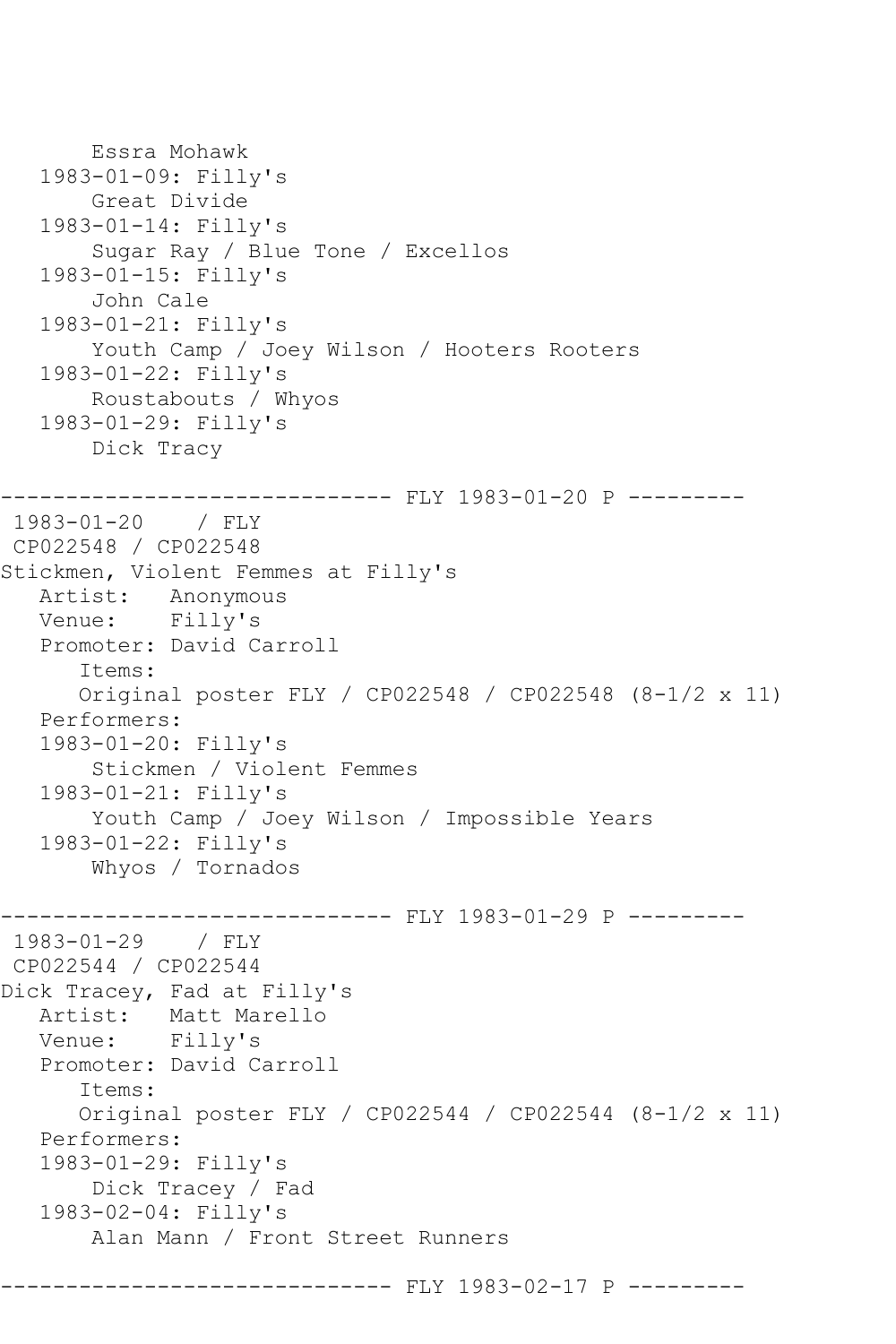```
 Essra Mohawk
    1983-01-09: Filly's
        Great Divide
    1983-01-14: Filly's
        Sugar Ray / Blue Tone / Excellos
    1983-01-15: Filly's
        John Cale
    1983-01-21: Filly's
        Youth Camp / Joey Wilson / Hooters Rooters
    1983-01-22: Filly's
        Roustabouts / Whyos
    1983-01-29: Filly's
        Dick Tracy
         ------------------------------ FLY 1983-01-20 P ---------
1983-01-20 / FLY 
CP022548 / CP022548
Stickmen, Violent Femmes at Filly's
   Artist: Anonymous
   Venue: Filly's
   Promoter: David Carroll
       Items:
       Original poster FLY / CP022548 / CP022548 (8-1/2 x 11)
    Performers:
    1983-01-20: Filly's
        Stickmen / Violent Femmes
    1983-01-21: Filly's
        Youth Camp / Joey Wilson / Impossible Years
    1983-01-22: Filly's
        Whyos / Tornados
         ------------------------------ FLY 1983-01-29 P ---------
1983-01-29 / FLY 
CP022544 / CP022544
Dick Tracey, Fad at Filly's
   Artist: Matt Marello
   Venue: Filly's
    Promoter: David Carroll
       Items:
       Original poster FLY / CP022544 / CP022544 (8-1/2 x 11)
    Performers:
    1983-01-29: Filly's
        Dick Tracey / Fad
    1983-02-04: Filly's
        Alan Mann / Front Street Runners
                         ------ FLY 1983-02-17 P ---------
```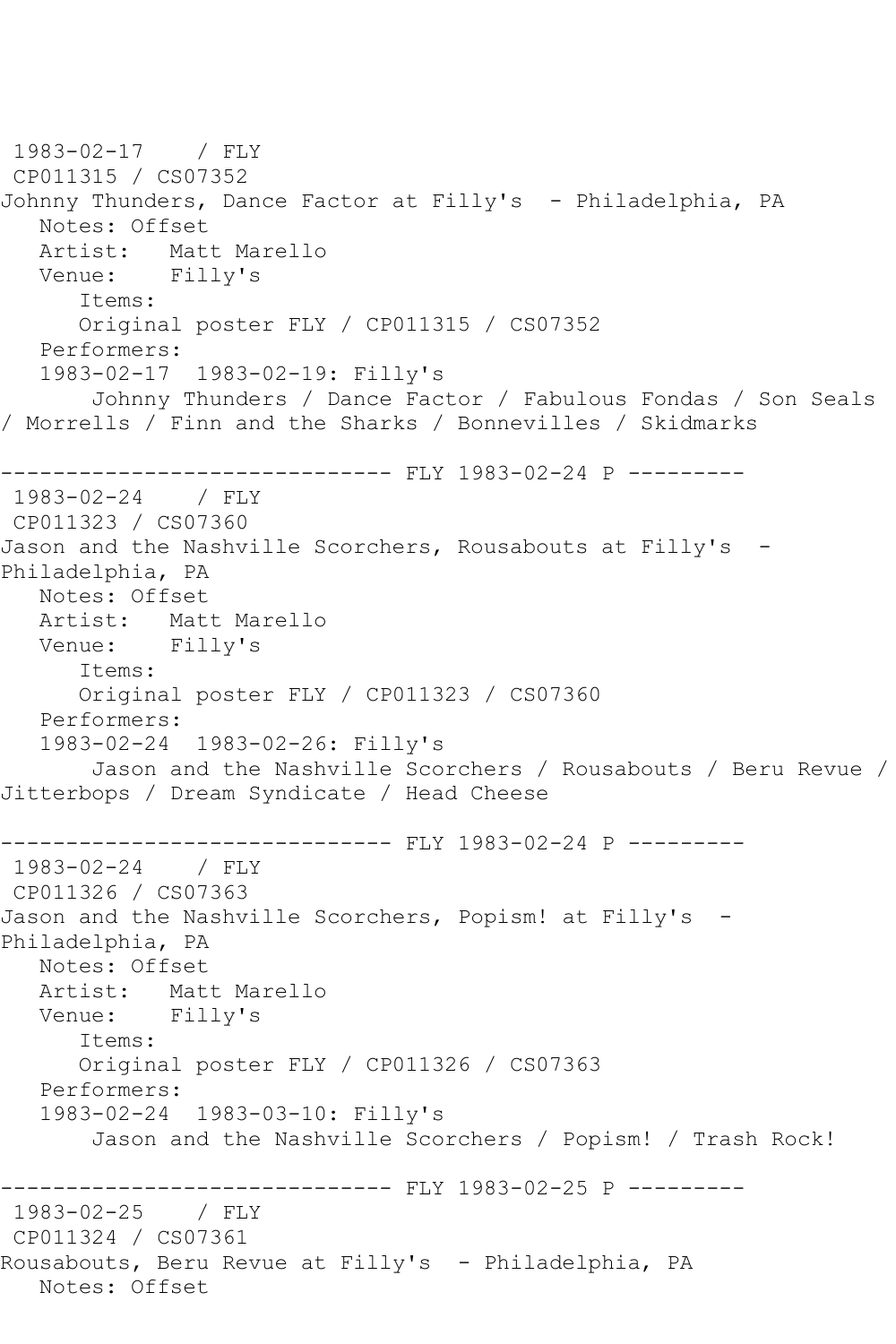```
1983-02-17 / FLY 
CP011315 / CS07352
Johnny Thunders, Dance Factor at Filly's - Philadelphia, PA
   Notes: Offset
   Artist: Matt Marello
   Venue: Filly's
      Items:
      Original poster FLY / CP011315 / CS07352
   Performers:
   1983-02-17 1983-02-19: Filly's
       Johnny Thunders / Dance Factor / Fabulous Fondas / Son Seals 
/ Morrells / Finn and the Sharks / Bonnevilles / Skidmarks
------------------------------ FLY 1983-02-24 P ---------
1983-02-24 / FLY 
CP011323 / CS07360
Jason and the Nashville Scorchers, Rousabouts at Filly's -
Philadelphia, PA
   Notes: Offset
   Artist: Matt Marello
   Venue: Filly's
      Items:
      Original poster FLY / CP011323 / CS07360
   Performers:
   1983-02-24 1983-02-26: Filly's
       Jason and the Nashville Scorchers / Rousabouts / Beru Revue / 
Jitterbops / Dream Syndicate / Head Cheese
------------------------------ FLY 1983-02-24 P ---------
1983-02-24 / FLY 
CP011326 / CS07363
Jason and the Nashville Scorchers, Popism! at Filly's -
Philadelphia, PA
   Notes: Offset
   Artist: Matt Marello
   Venue: Filly's
      Items:
      Original poster FLY / CP011326 / CS07363
   Performers:
   1983-02-24 1983-03-10: Filly's
       Jason and the Nashville Scorchers / Popism! / Trash Rock!
  ------------------------------ FLY 1983-02-25 P ---------
1983-02-25 / FLY 
CP011324 / CS07361
Rousabouts, Beru Revue at Filly's - Philadelphia, PA
   Notes: Offset
```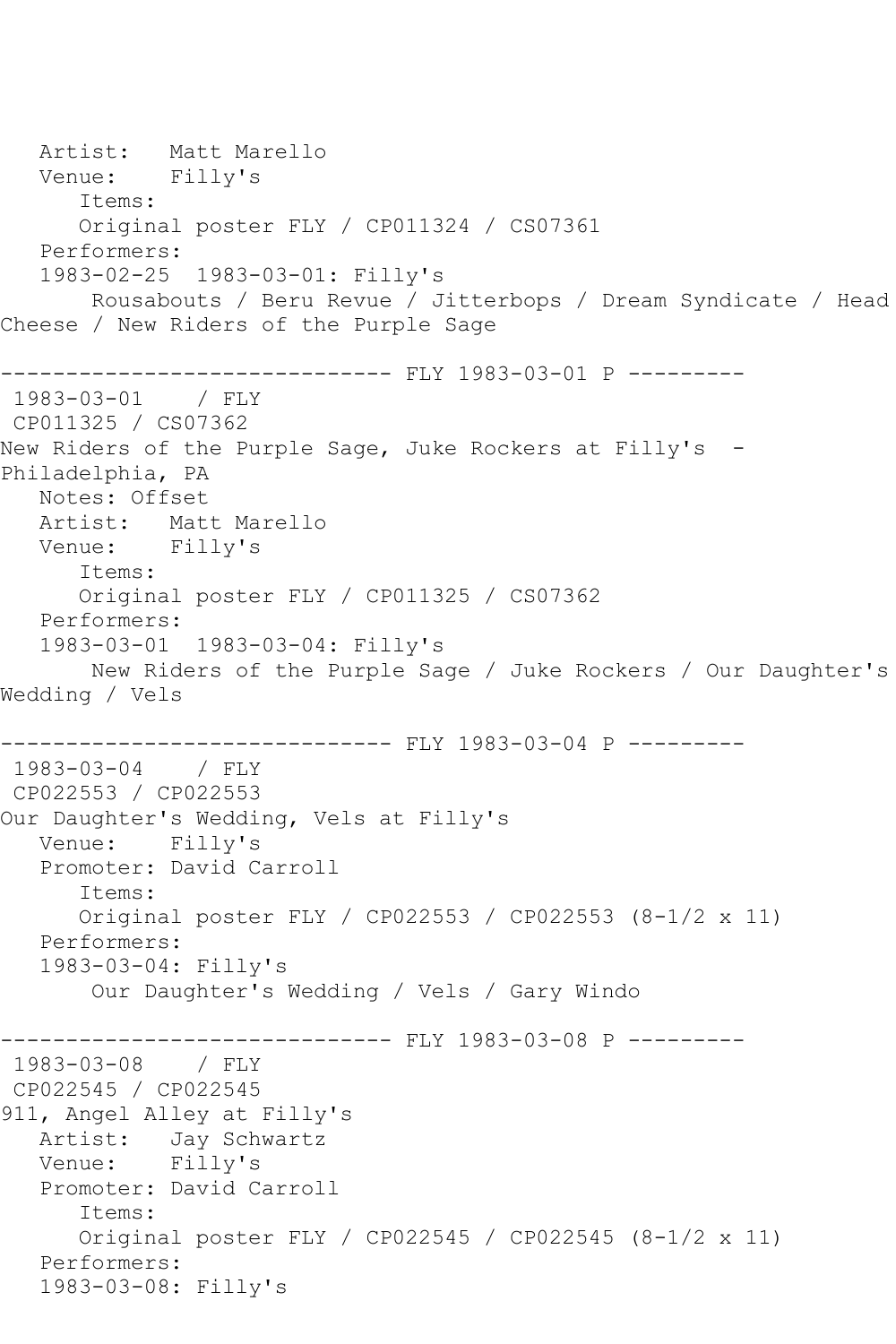Artist: Matt Marello Venue: Filly's Items: Original poster FLY / CP011324 / CS07361 Performers: 1983-02-25 1983-03-01: Filly's Rousabouts / Beru Revue / Jitterbops / Dream Syndicate / Head Cheese / New Riders of the Purple Sage ------------------------------ FLY 1983-03-01 P --------- 1983-03-01 / FLY CP011325 / CS07362 New Riders of the Purple Sage, Juke Rockers at Filly's -Philadelphia, PA Notes: Offset Artist: Matt Marello Venue: Filly's Items: Original poster FLY / CP011325 / CS07362 Performers: 1983-03-01 1983-03-04: Filly's New Riders of the Purple Sage / Juke Rockers / Our Daughter's Wedding / Vels ------------------------------ FLY 1983-03-04 P --------- 1983-03-04 / FLY CP022553 / CP022553 Our Daughter's Wedding, Vels at Filly's Venue: Filly's Promoter: David Carroll Items: Original poster FLY / CP022553 / CP022553 (8-1/2 x 11) Performers: 1983-03-04: Filly's Our Daughter's Wedding / Vels / Gary Windo ------------------------------ FLY 1983-03-08 P --------- 1983-03-08 / FLY CP022545 / CP022545 911, Angel Alley at Filly's Artist: Jay Schwartz Venue: Filly's Promoter: David Carroll Items: Original poster FLY / CP022545 / CP022545 (8-1/2 x 11) Performers: 1983-03-08: Filly's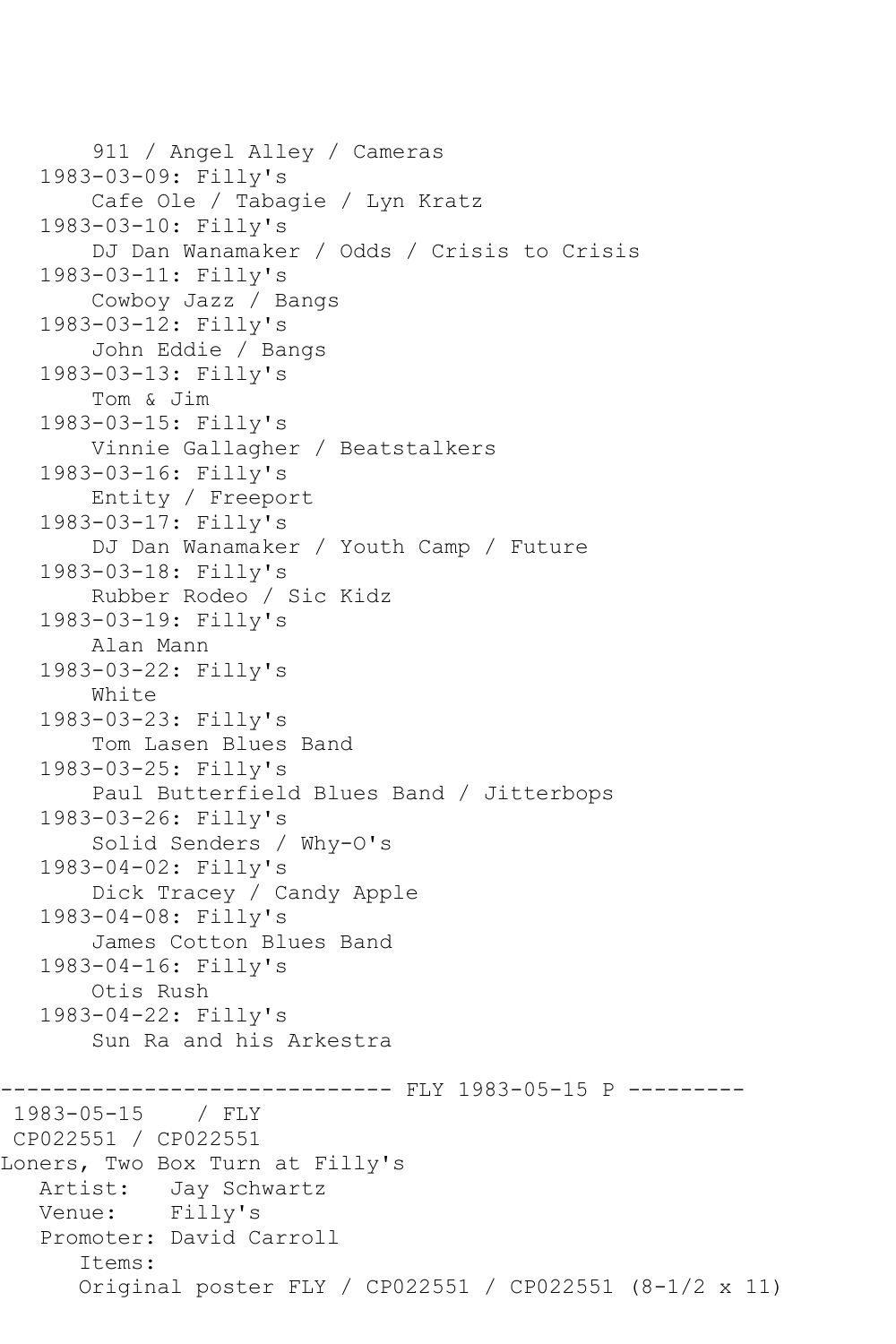```
 911 / Angel Alley / Cameras
    1983-03-09: Filly's
        Cafe Ole / Tabagie / Lyn Kratz
    1983-03-10: Filly's
        DJ Dan Wanamaker / Odds / Crisis to Crisis
    1983-03-11: Filly's
        Cowboy Jazz / Bangs
    1983-03-12: Filly's
        John Eddie / Bangs
    1983-03-13: Filly's
        Tom & Jim
    1983-03-15: Filly's
        Vinnie Gallagher / Beatstalkers
    1983-03-16: Filly's
        Entity / Freeport
    1983-03-17: Filly's
        DJ Dan Wanamaker / Youth Camp / Future
    1983-03-18: Filly's
        Rubber Rodeo / Sic Kidz
    1983-03-19: Filly's
        Alan Mann
    1983-03-22: Filly's
        White
    1983-03-23: Filly's
        Tom Lasen Blues Band
    1983-03-25: Filly's
        Paul Butterfield Blues Band / Jitterbops
    1983-03-26: Filly's
        Solid Senders / Why-O's
   1983-04-02: Filly's
        Dick Tracey / Candy Apple
    1983-04-08: Filly's
        James Cotton Blues Band
    1983-04-16: Filly's
        Otis Rush
    1983-04-22: Filly's
        Sun Ra and his Arkestra
             ------------------------------ FLY 1983-05-15 P ---------
1983 - 05 - 15CP022551 / CP022551
Loners, Two Box Turn at Filly's
   Artist: Jay Schwartz
   Venue: Filly's
    Promoter: David Carroll
       Items:
       Original poster FLY / CP022551 / CP022551 (8-1/2 x 11)
```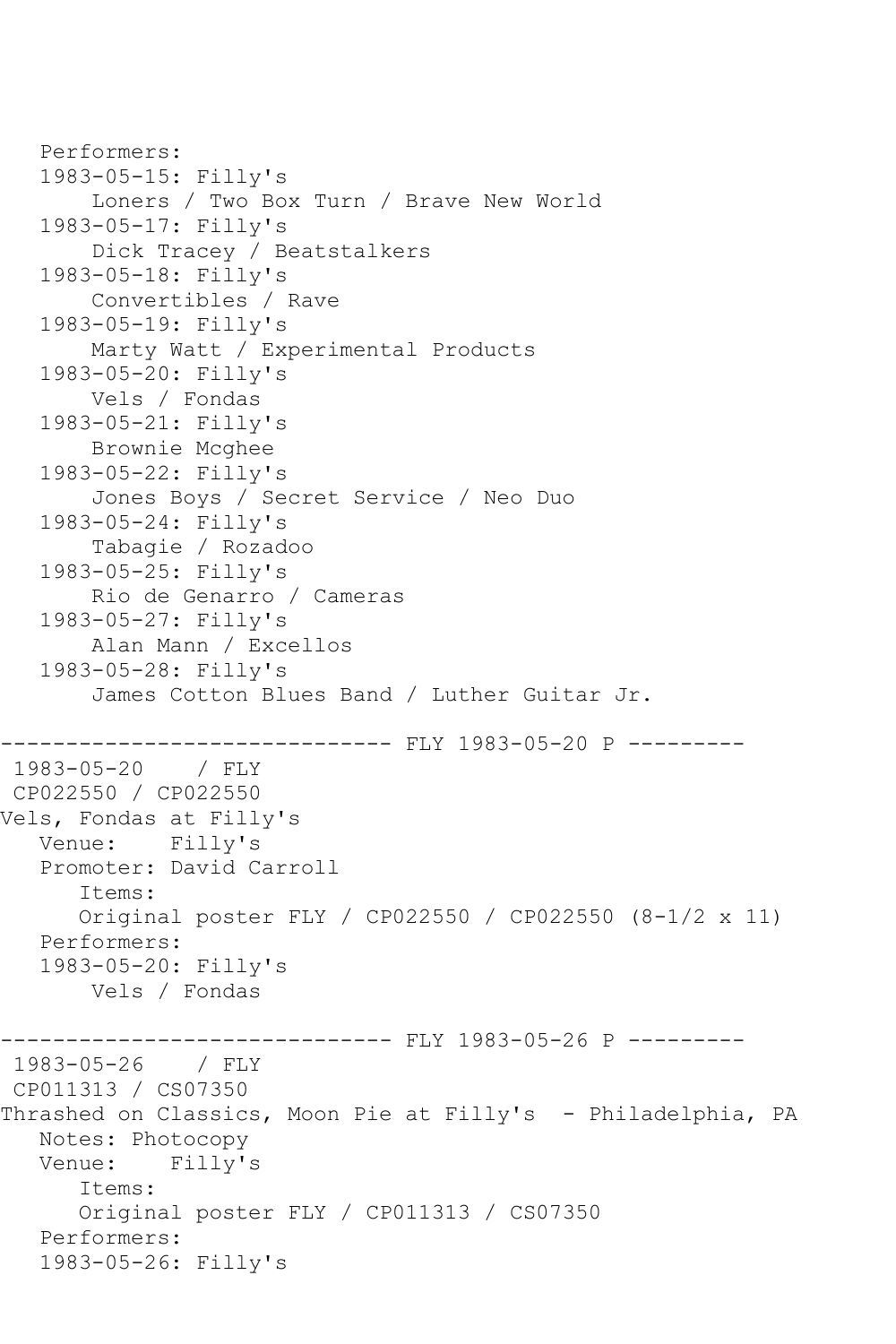```
 Performers:
    1983-05-15: Filly's
        Loners / Two Box Turn / Brave New World
    1983-05-17: Filly's
        Dick Tracey / Beatstalkers
    1983-05-18: Filly's
        Convertibles / Rave
    1983-05-19: Filly's
        Marty Watt / Experimental Products
    1983-05-20: Filly's
        Vels / Fondas
    1983-05-21: Filly's
        Brownie Mcghee
    1983-05-22: Filly's
        Jones Boys / Secret Service / Neo Duo
    1983-05-24: Filly's
        Tabagie / Rozadoo
    1983-05-25: Filly's
        Rio de Genarro / Cameras
    1983-05-27: Filly's
        Alan Mann / Excellos
    1983-05-28: Filly's
        James Cotton Blues Band / Luther Guitar Jr.
                     ------------------------------ FLY 1983-05-20 P ---------
1983-05-20 / FLY 
CP022550 / CP022550
Vels, Fondas at Filly's
   Venue: Filly's
    Promoter: David Carroll
       Items:
       Original poster FLY / CP022550 / CP022550 (8-1/2 x 11)
    Performers:
    1983-05-20: Filly's
        Vels / Fondas
-------------------------------- FLY 1983-05-26 P ---------<br>1983-05-26   / FLY
1983 - 05 - 26CP011313 / CS07350
Thrashed on Classics, Moon Pie at Filly's - Philadelphia, PA
    Notes: Photocopy
    Venue: Filly's
       Items:
       Original poster FLY / CP011313 / CS07350
    Performers:
    1983-05-26: Filly's
```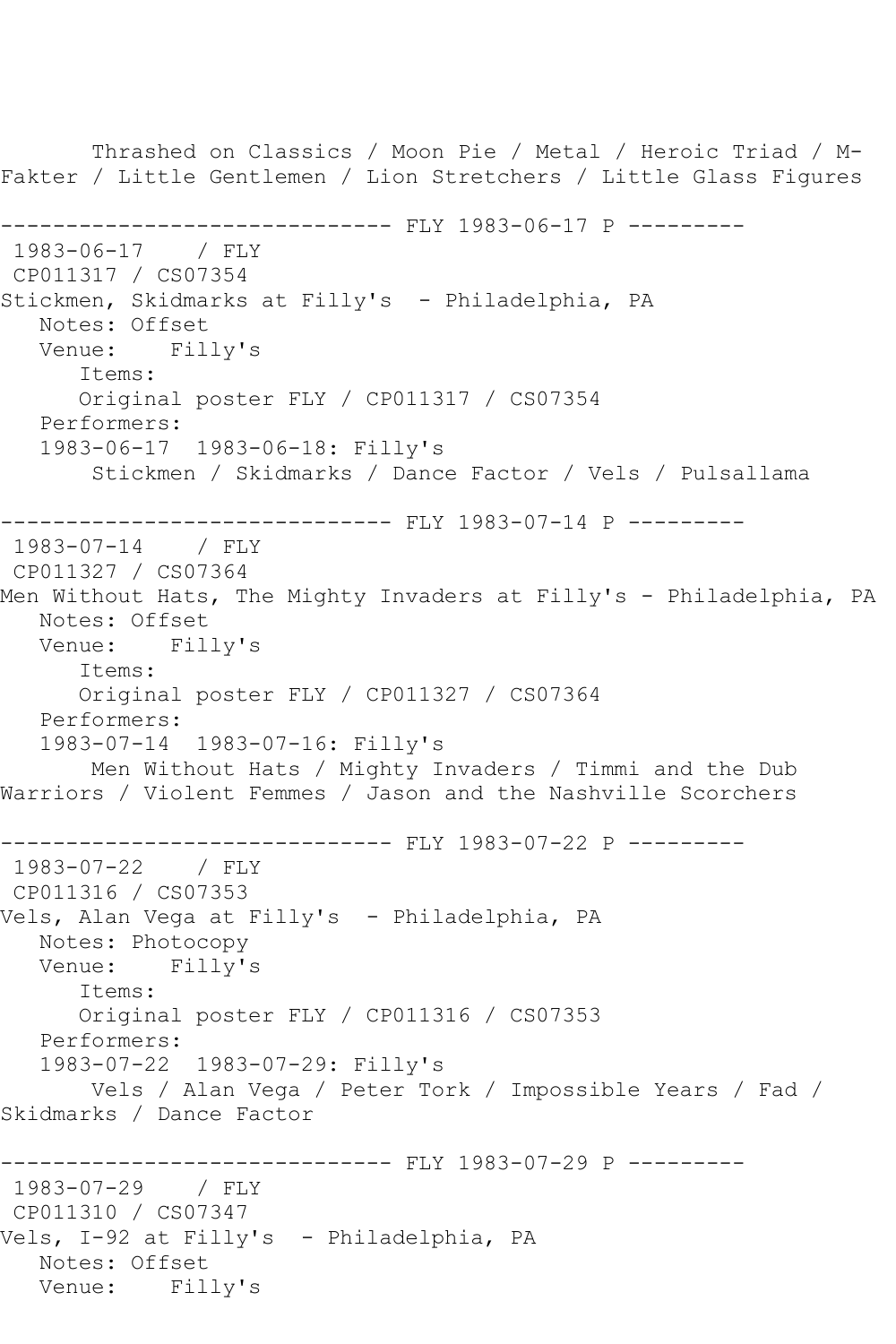Thrashed on Classics / Moon Pie / Metal / Heroic Triad / M-Fakter / Little Gentlemen / Lion Stretchers / Little Glass Figures ------------------------------ FLY 1983-06-17 P --------- 1983-06-17 / FLY CP011317 / CS07354 Stickmen, Skidmarks at Filly's - Philadelphia, PA Notes: Offset<br>Venue: Filly's Venue: Items: Original poster FLY / CP011317 / CS07354 Performers: 1983-06-17 1983-06-18: Filly's Stickmen / Skidmarks / Dance Factor / Vels / Pulsallama ------------------------------ FLY 1983-07-14 P --------- 1983-07-14 / FLY CP011327 / CS07364 Men Without Hats, The Mighty Invaders at Filly's - Philadelphia, PA Notes: Offset Venue: Filly's Items: Original poster FLY / CP011327 / CS07364 Performers: 1983-07-14 1983-07-16: Filly's Men Without Hats / Mighty Invaders / Timmi and the Dub Warriors / Violent Femmes / Jason and the Nashville Scorchers ------------------------------ FLY 1983-07-22 P --------- 1983-07-22 / FLY CP011316 / CS07353 Vels, Alan Vega at Filly's - Philadelphia, PA Notes: Photocopy Venue: Filly's Items: Original poster FLY / CP011316 / CS07353 Performers: 1983-07-22 1983-07-29: Filly's Vels / Alan Vega / Peter Tork / Impossible Years / Fad / Skidmarks / Dance Factor ------------------------------ FLY 1983-07-29 P --------- 1983-07-29 / FLY CP011310 / CS07347 Vels, I-92 at Filly's - Philadelphia, PA Notes: Offset Venue: Filly's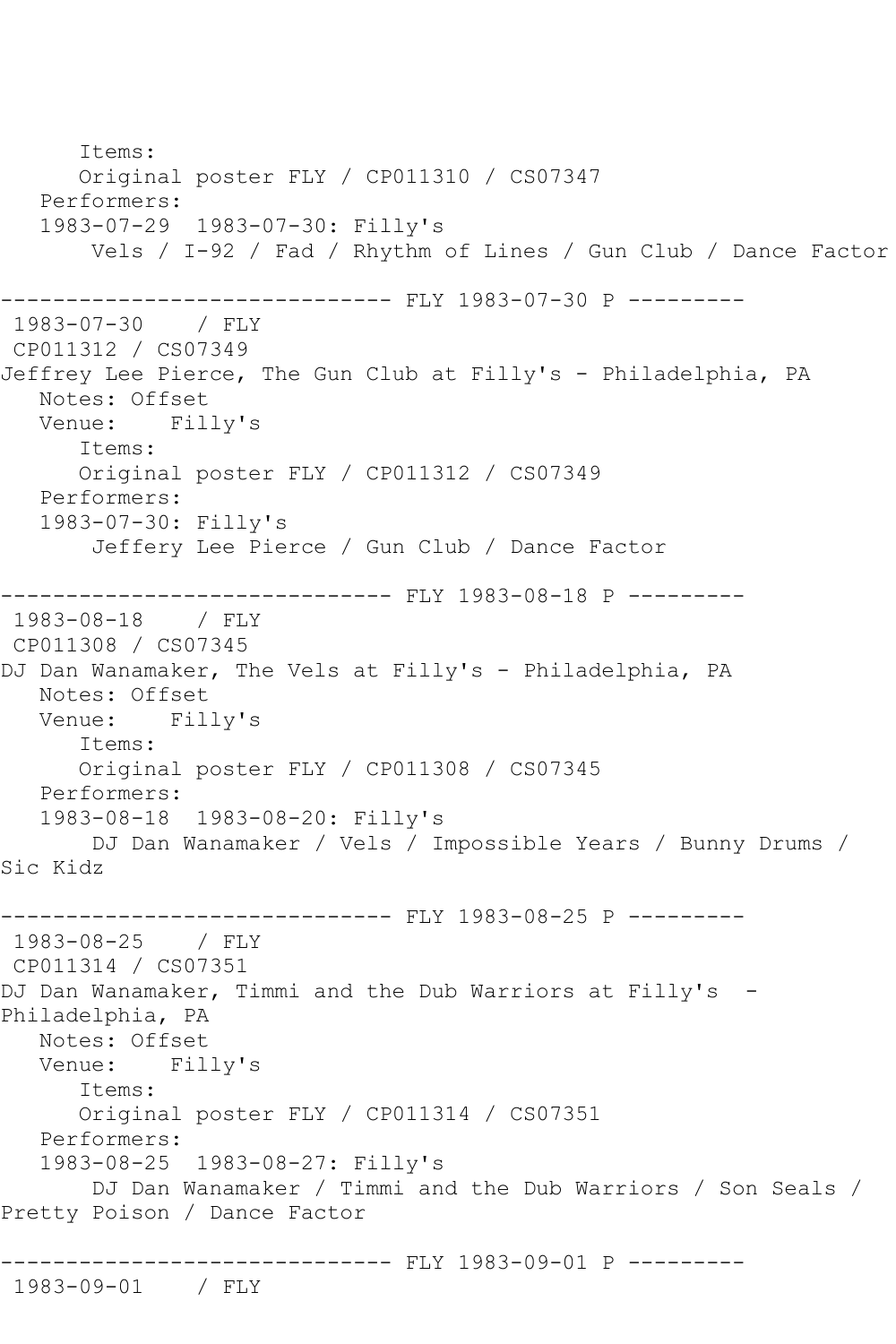Items: Original poster FLY / CP011310 / CS07347 Performers: 1983-07-29 1983-07-30: Filly's Vels / I-92 / Fad / Rhythm of Lines / Gun Club / Dance Factor ------------------------------ FLY 1983-07-30 P ---------  $1983 - 07 - 30$ CP011312 / CS07349 Jeffrey Lee Pierce, The Gun Club at Filly's - Philadelphia, PA Notes: Offset<br>Venue: Fil Filly's Items: Original poster FLY / CP011312 / CS07349 Performers: 1983-07-30: Filly's Jeffery Lee Pierce / Gun Club / Dance Factor ------------- FLY 1983-08-18 P ---------1983-08-18 / FLY CP011308 / CS07345 DJ Dan Wanamaker, The Vels at Filly's - Philadelphia, PA Notes: Offset<br>Venue: Fill Filly's Items: Original poster FLY / CP011308 / CS07345 Performers: 1983-08-18 1983-08-20: Filly's DJ Dan Wanamaker / Vels / Impossible Years / Bunny Drums / Sic Kidz ----------- FLY 1983-08-25 P ---------1983-08-25 / FLY CP011314 / CS07351 DJ Dan Wanamaker, Timmi and the Dub Warriors at Filly's -Philadelphia, PA Notes: Offset Venue: Filly's Items: Original poster FLY / CP011314 / CS07351 Performers: 1983-08-25 1983-08-27: Filly's DJ Dan Wanamaker / Timmi and the Dub Warriors / Son Seals / Pretty Poison / Dance Factor ------------------------------ FLY 1983-09-01 P --------- 1983-09-01 / FLY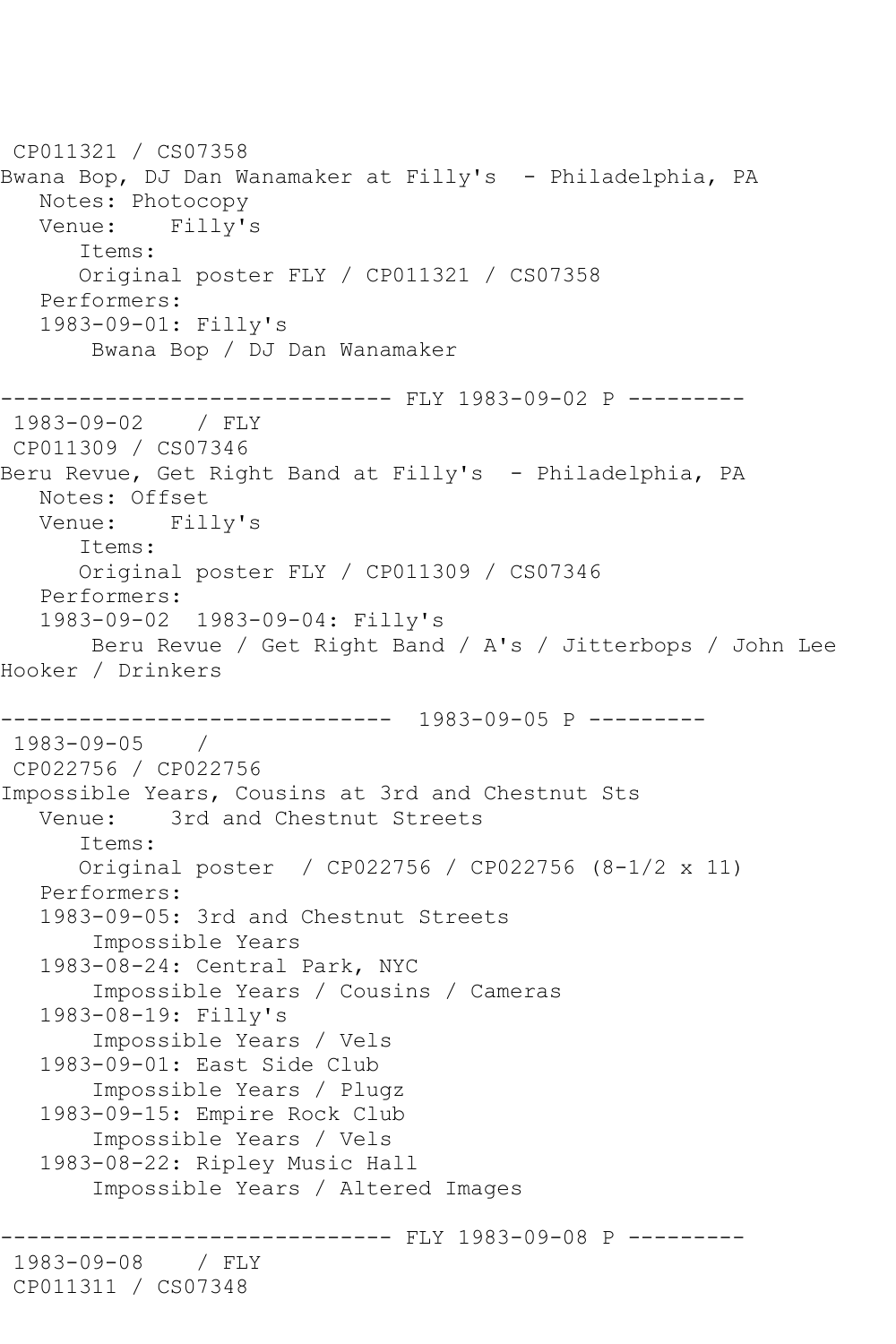CP011321 / CS07358 Bwana Bop, DJ Dan Wanamaker at Filly's - Philadelphia, PA Notes: Photocopy Venue: Filly's Items: Original poster FLY / CP011321 / CS07358 Performers: 1983-09-01: Filly's Bwana Bop / DJ Dan Wanamaker ------------------------------ FLY 1983-09-02 P --------- 1983-09-02 / FLY CP011309 / CS07346 Beru Revue, Get Right Band at Filly's - Philadelphia, PA Notes: Offset Venue: Filly's Items: Original poster FLY / CP011309 / CS07346 Performers: 1983-09-02 1983-09-04: Filly's Beru Revue / Get Right Band / A's / Jitterbops / John Lee Hooker / Drinkers ------------------------------ 1983-09-05 P --------- 1983-09-05 / CP022756 / CP022756 Impossible Years, Cousins at 3rd and Chestnut Sts Venue: 3rd and Chestnut Streets Items: Original poster / CP022756 / CP022756 (8-1/2 x 11) Performers: 1983-09-05: 3rd and Chestnut Streets Impossible Years 1983-08-24: Central Park, NYC Impossible Years / Cousins / Cameras 1983-08-19: Filly's Impossible Years / Vels 1983-09-01: East Side Club Impossible Years / Plugz 1983-09-15: Empire Rock Club Impossible Years / Vels 1983-08-22: Ripley Music Hall Impossible Years / Altered Images ------------ FLY 1983-09-08 P ---------1983-09-08 / FLY CP011311 / CS07348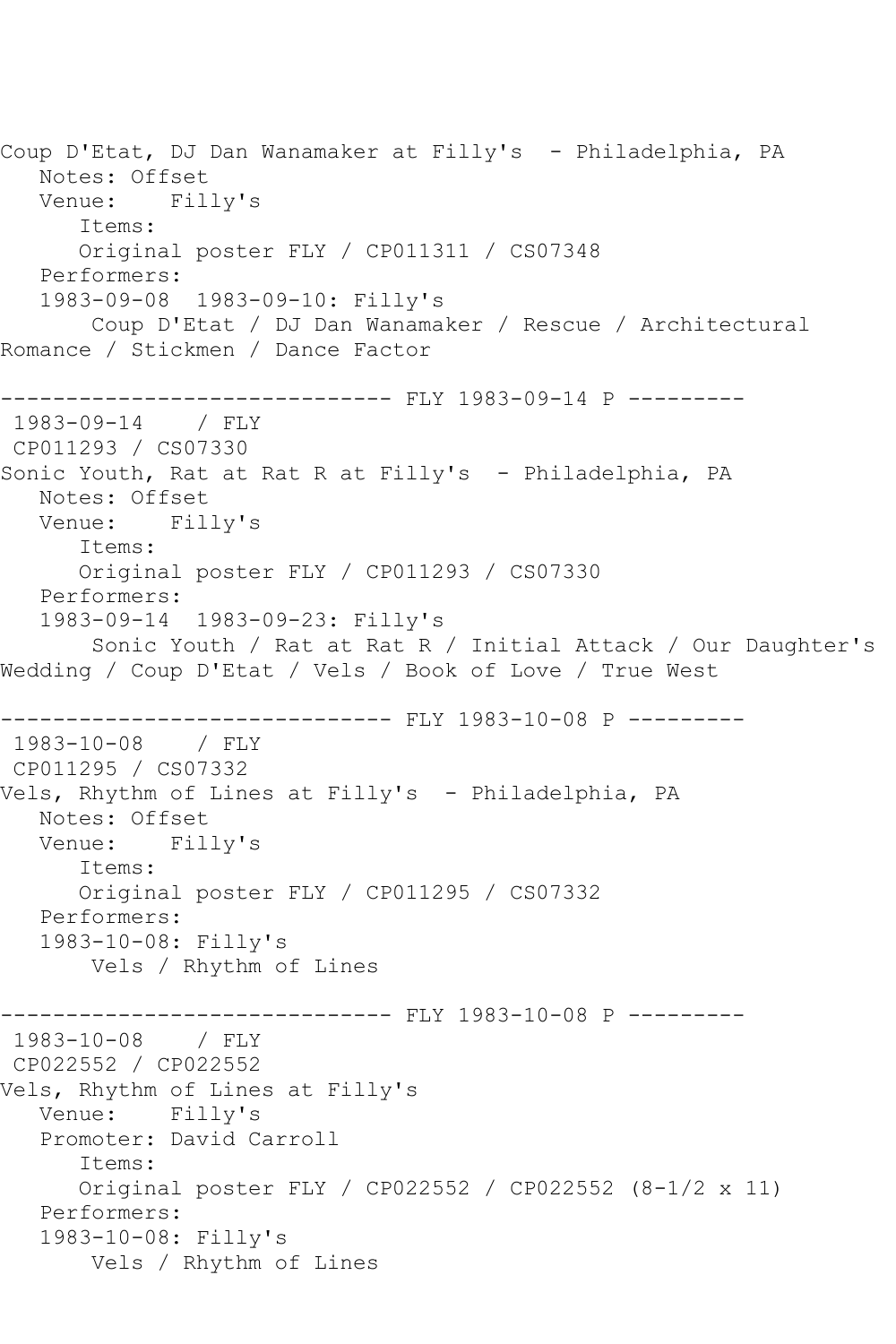Coup D'Etat, DJ Dan Wanamaker at Filly's - Philadelphia, PA Notes: Offset<br>Venue: Filly's Venue: Items: Original poster FLY / CP011311 / CS07348 Performers: 1983-09-08 1983-09-10: Filly's Coup D'Etat / DJ Dan Wanamaker / Rescue / Architectural Romance / Stickmen / Dance Factor ------------------------------ FLY 1983-09-14 P --------- 1983-09-14 / FLY CP011293 / CS07330 Sonic Youth, Rat at Rat R at Filly's - Philadelphia, PA Notes: Offset Venue: Filly's Items: Original poster FLY / CP011293 / CS07330 Performers: 1983-09-14 1983-09-23: Filly's Sonic Youth / Rat at Rat R / Initial Attack / Our Daughter's Wedding / Coup D'Etat / Vels / Book of Love / True West ------------------------------ FLY 1983-10-08 P --------- 1983-10-08 / FLY CP011295 / CS07332 Vels, Rhythm of Lines at Filly's - Philadelphia, PA Notes: Offset Venue: Filly's Items: Original poster FLY / CP011295 / CS07332 Performers: 1983-10-08: Filly's Vels / Rhythm of Lines ------------------------------ FLY 1983-10-08 P --------- 1983-10-08 / FLY CP022552 / CP022552 Vels, Rhythm of Lines at Filly's Venue: Filly's Promoter: David Carroll Items: Original poster FLY / CP022552 / CP022552 (8-1/2 x 11) Performers: 1983-10-08: Filly's Vels / Rhythm of Lines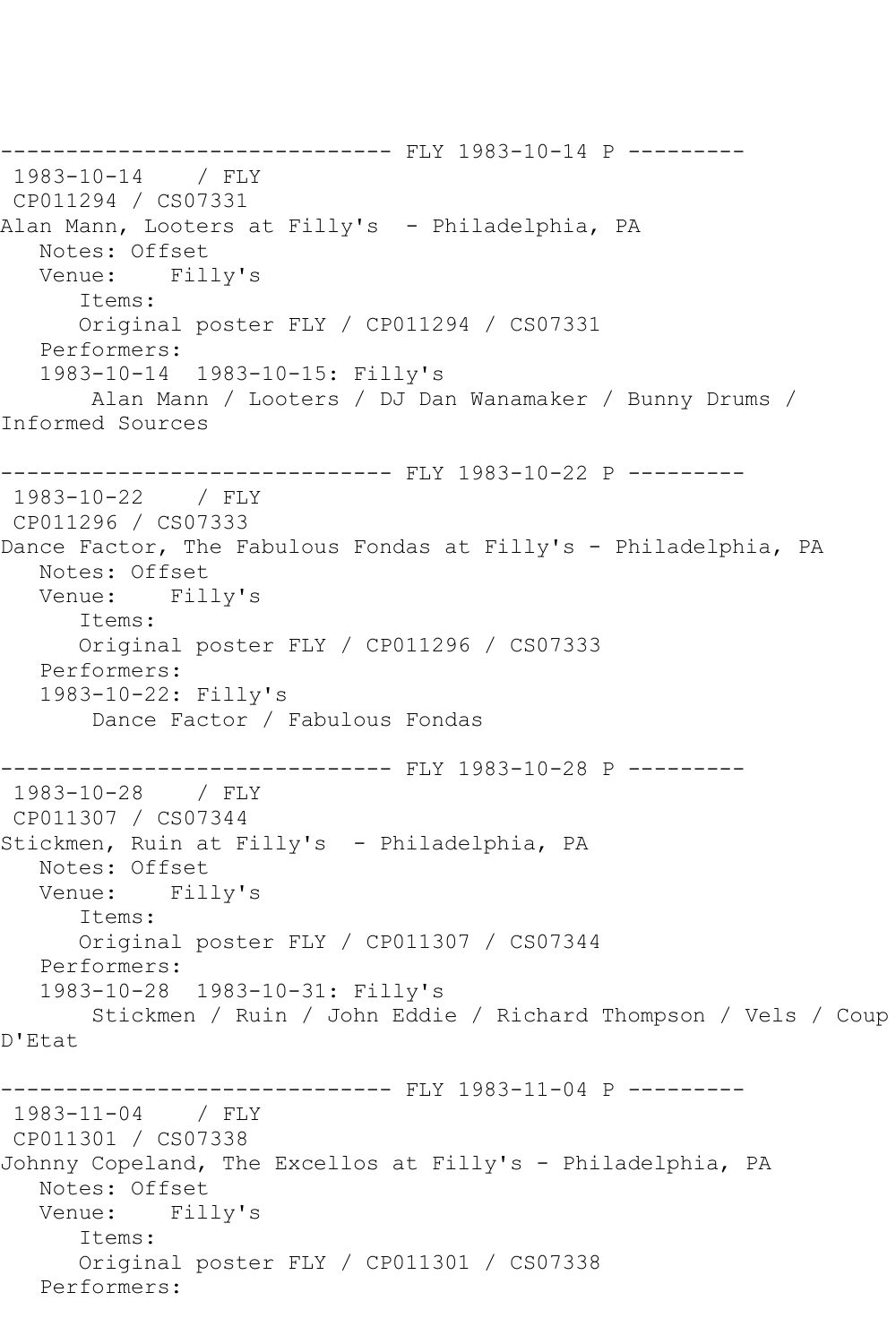```
------------------------------ FLY 1983-10-14 P ---------
1983-10-14 / FLY 
CP011294 / CS07331
Alan Mann, Looters at Filly's - Philadelphia, PA
   Notes: Offset
   Venue: Filly's
      Items:
      Original poster FLY / CP011294 / CS07331
   Performers:
   1983-10-14 1983-10-15: Filly's
       Alan Mann / Looters / DJ Dan Wanamaker / Bunny Drums / 
Informed Sources
------------------------------ FLY 1983-10-22 P ---------
1983-10-22 / FLY 
CP011296 / CS07333
Dance Factor, The Fabulous Fondas at Filly's - Philadelphia, PA
  Notes: Offset<br>Venue: Fil
           Filly's
      Items:
      Original poster FLY / CP011296 / CS07333
   Performers:
   1983-10-22: Filly's
        Dance Factor / Fabulous Fondas
------------------------------ FLY 1983-10-28 P ---------
1983-10-28 / FLY 
CP011307 / CS07344
Stickmen, Ruin at Filly's - Philadelphia, PA
   Notes: Offset
   Venue: Filly's
       Items:
      Original poster FLY / CP011307 / CS07344
   Performers:
   1983-10-28 1983-10-31: Filly's
        Stickmen / Ruin / John Eddie / Richard Thompson / Vels / Coup 
D'Etat
------------------------------ FLY 1983-11-04 P ---------
1983-11-04 / FLY 
CP011301 / CS07338
Johnny Copeland, The Excellos at Filly's - Philadelphia, PA
   Notes: Offset
   Venue: Filly's
       Items:
       Original poster FLY / CP011301 / CS07338
   Performers:
```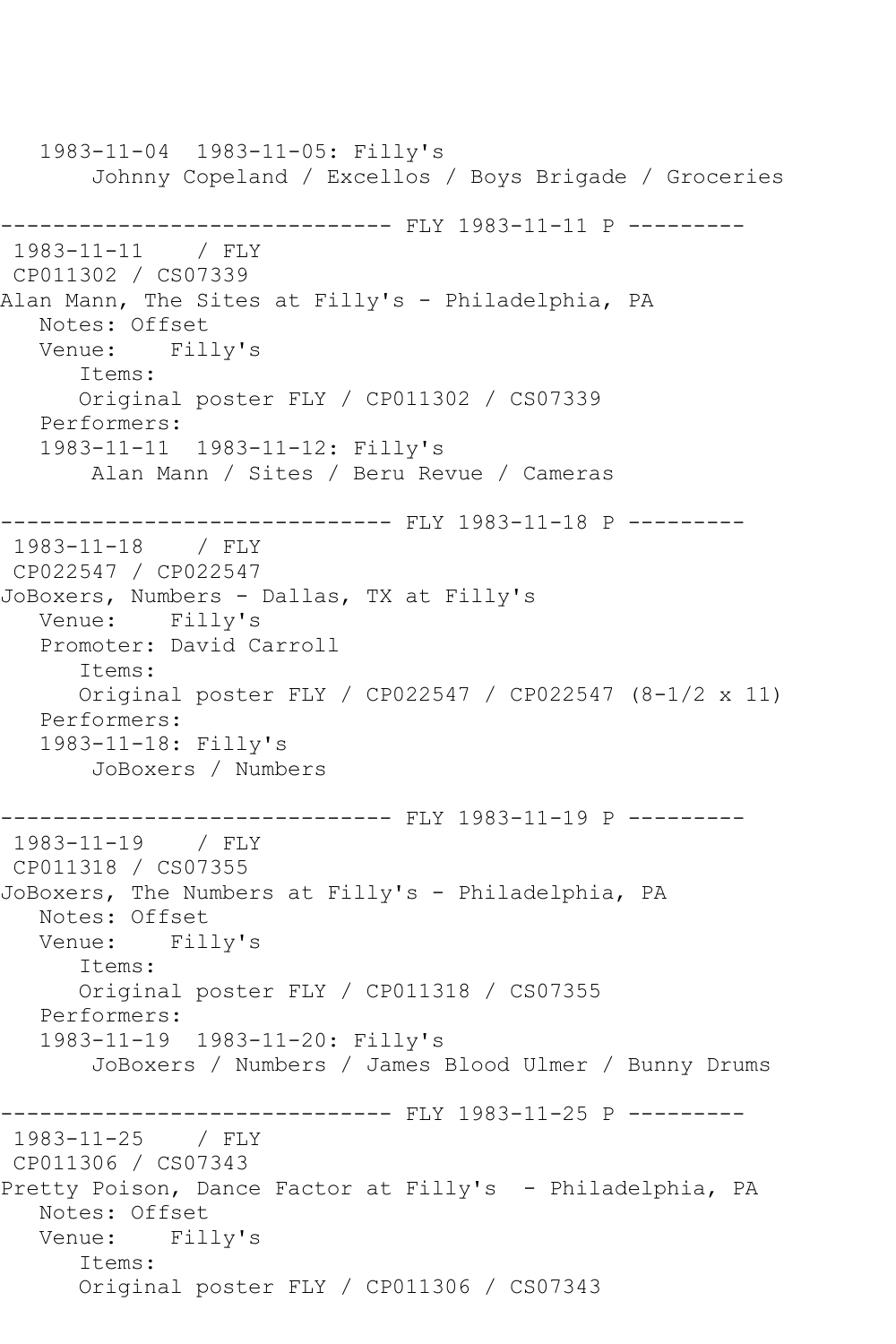1983-11-04 1983-11-05: Filly's Johnny Copeland / Excellos / Boys Brigade / Groceries ------------------------------ FLY 1983-11-11 P --------- 1983-11-11 / FLY CP011302 / CS07339 Alan Mann, The Sites at Filly's - Philadelphia, PA Notes: Offset<br>Venue: Filly's Venue: Items: Original poster FLY / CP011302 / CS07339 Performers: 1983-11-11 1983-11-12: Filly's Alan Mann / Sites / Beru Revue / Cameras ------------------------------ FLY 1983-11-18 P --------- 1983-11-18 / FLY CP022547 / CP022547 JoBoxers, Numbers - Dallas, TX at Filly's Venue: Filly's Promoter: David Carroll Items: Original poster FLY / CP022547 / CP022547 (8-1/2 x 11) Performers: 1983-11-18: Filly's JoBoxers / Numbers ----------- FLY 1983-11-19 P ---------1983-11-19 / FLY CP011318 / CS07355 JoBoxers, The Numbers at Filly's - Philadelphia, PA Notes: Offset<br>Venue: Fill Filly's Items: Original poster FLY / CP011318 / CS07355 Performers: 1983-11-19 1983-11-20: Filly's JoBoxers / Numbers / James Blood Ulmer / Bunny Drums ------------------------------ FLY 1983-11-25 P --------- 1983-11-25 / FLY CP011306 / CS07343 Pretty Poison, Dance Factor at Filly's - Philadelphia, PA Notes: Offset Venue: Filly's Items: Original poster FLY / CP011306 / CS07343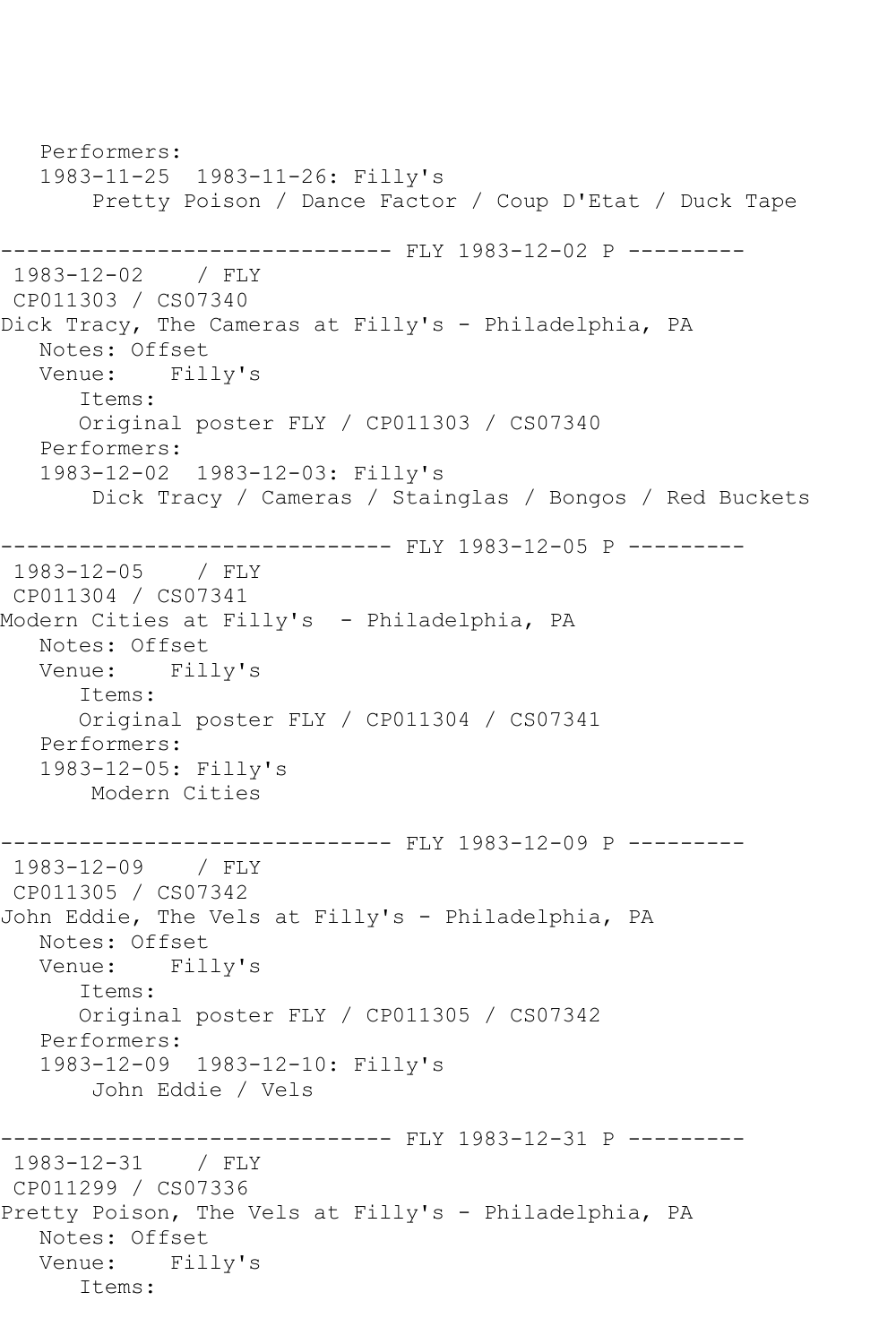Performers: 1983-11-25 1983-11-26: Filly's Pretty Poison / Dance Factor / Coup D'Etat / Duck Tape ------------------------------ FLY 1983-12-02 P --------- 1983-12-02 / FLY CP011303 / CS07340 Dick Tracy, The Cameras at Filly's - Philadelphia, PA Notes: Offset Venue: Filly's Items: Original poster FLY / CP011303 / CS07340 Performers: 1983-12-02 1983-12-03: Filly's Dick Tracy / Cameras / Stainglas / Bongos / Red Buckets ------------------------------ FLY 1983-12-05 P --------- 1983-12-05 / FLY CP011304 / CS07341 Modern Cities at Filly's - Philadelphia, PA Notes: Offset Venue: Filly's Items: Original poster FLY / CP011304 / CS07341 Performers: 1983-12-05: Filly's Modern Cities ------------------------------ FLY 1983-12-09 P --------- 1983-12-09 / FLY CP011305 / CS07342 John Eddie, The Vels at Filly's - Philadelphia, PA Notes: Offset<br>Venue: Fill Filly's Items: Original poster FLY / CP011305 / CS07342 Performers: 1983-12-09 1983-12-10: Filly's John Eddie / Vels ------------------------------ FLY 1983-12-31 P --------- 1983-12-31 / FLY CP011299 / CS07336 Pretty Poison, The Vels at Filly's - Philadelphia, PA Notes: Offset Venue: Filly's Items: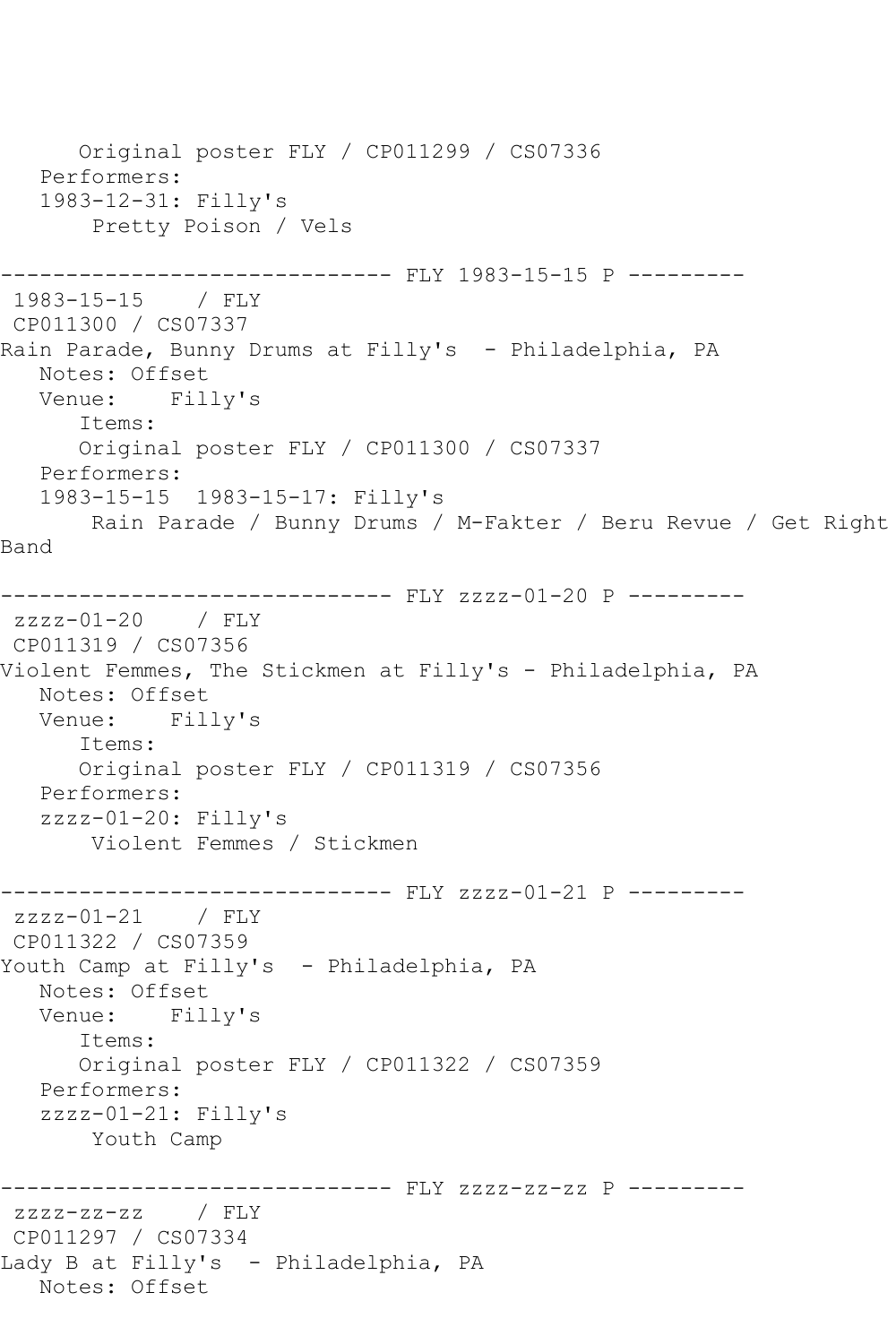```
 Original poster FLY / CP011299 / CS07336
   Performers:
   1983-12-31: Filly's
        Pretty Poison / Vels
      ------------------------------ FLY 1983-15-15 P ---------
1983-15-15 / FLY 
CP011300 / CS07337
Rain Parade, Bunny Drums at Filly's - Philadelphia, PA
  Notes: Offset<br>Venue: Fill
           Filly's
       Items:
      Original poster FLY / CP011300 / CS07337
   Performers:
   1983-15-15 1983-15-17: Filly's
       Rain Parade / Bunny Drums / M-Fakter / Beru Revue / Get Right 
Band
----------------------------- FLY zzzz-01-20 P ---------
zzzz-01-20 / FLY 
CP011319 / CS07356
Violent Femmes, The Stickmen at Filly's - Philadelphia, PA
   Notes: Offset
   Venue: Filly's
       Items:
      Original poster FLY / CP011319 / CS07356
   Performers:
   zzzz-01-20: Filly's
       Violent Femmes / Stickmen
------------------------------ FLY zzzz-01-21 P ---------
zzzz-01-21 / FLY 
CP011322 / CS07359
Youth Camp at Filly's - Philadelphia, PA
   Notes: Offset
   Venue: Filly's
       Items:
      Original poster FLY / CP011322 / CS07359
   Performers:
   zzzz-01-21: Filly's
       Youth Camp
------------------------------ FLY zzzz-zz-zz P ---------
zzzz-zz-zz / FLY 
CP011297 / CS07334
Lady B at Filly's - Philadelphia, PA
  Notes: Offset
```